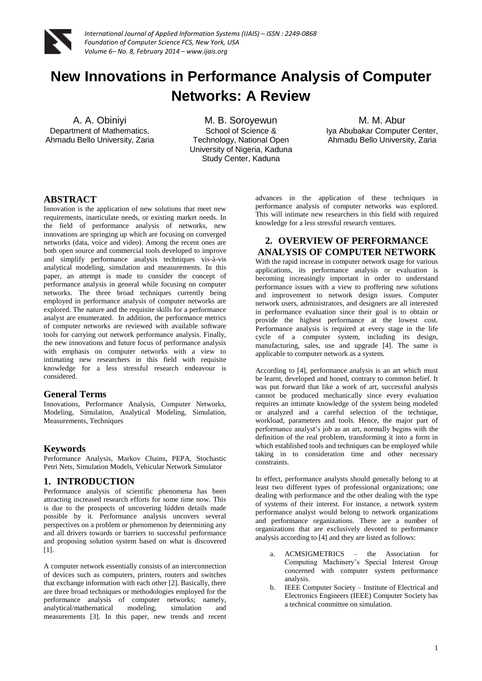

# **New Innovations in Performance Analysis of Computer Networks: A Review**

A. A. Obiniyi Department of Mathematics, Ahmadu Bello University, Zaria

M. B. Soroyewun School of Science & Technology, National Open University of Nigeria, Kaduna Study Center, Kaduna

M. M. Abur Iya Abubakar Computer Center, Ahmadu Bello University, Zaria

#### **ABSTRACT**

Innovation is the application of new solutions that meet new requirements, inarticulate needs, or existing market needs. In the field of performance analysis of networks, new innovations are springing up which are focusing on converged networks (data, voice and video). Among the recent ones are both open source and commercial tools developed to improve and simplify performance analysis techniques vis-à-vis analytical modeling, simulation and measurements. In this paper, an attempt is made to consider the concept of performance analysis in general while focusing on computer networks. The three broad techniques currently being employed in performance analysis of computer networks are explored. The nature and the requisite skills for a performance analyst are enumerated. In addition, the performance metrics of computer networks are reviewed with available software tools for carrying out network performance analysis. Finally, the new innovations and future focus of performance analysis with emphasis on computer networks with a view to intimating new researchers in this field with requisite knowledge for a less stressful research endeavour is considered.

#### **General Terms**

Innovations, Performance Analysis, Computer Networks, Modeling, Simulation, Analytical Modeling, Simulation, Measurements, Techniques

#### **Keywords**

Performance Analysis, Markov Chains, PEPA, Stochastic Petri Nets, Simulation Models, Vehicular Network Simulator

#### **1. INTRODUCTION**

Performance analysis of scientific phenomena has been attracting increased research efforts for some time now. This is due to the prospects of uncovering hidden details made possible by it. Performance analysis uncovers several perspectives on a problem or phenomenon by determining any and all drivers towards or barriers to successful performance and proposing solution system based on what is discovered [1].

A computer network essentially consists of an interconnection of devices such as computers, printers, routers and switches that exchange information with each other [2]. Basically, there are three broad techniques or methodologies employed for the performance analysis of computer networks; namely, analytical/mathematical modeling, simulation and analytical/mathematical modeling, simulation and measurements [3]. In this paper, new trends and recent

advances in the application of these techniques in performance analysis of computer networks was explored. This will intimate new researchers in this field with required knowledge for a less stressful research ventures.

#### **2. OVERVIEW OF PERFORMANCE ANALYSIS OF COMPUTER NETWORK**

With the rapid increase in computer network usage for various applications, its performance analysis or evaluation is becoming increasingly important in order to understand performance issues with a view to proffering new solutions and improvement to network design issues. Computer network users, administrators, and designers are all interested in performance evaluation since their goal is to obtain or provide the highest performance at the lowest cost. Performance analysis is required at every stage in the life cycle of a computer system, including its design, manufacturing, sales, use and upgrade [4]. The same is applicable to computer network as a system.

According to [4], performance analysis is an art which must be learnt, developed and honed, contrary to common belief. It was put forward that like a work of art, successful analysis cannot be produced mechanically since every evaluation requires an intimate knowledge of the system being modeled or analyzed and a careful selection of the technique, workload, parameters and tools. Hence, the major part of performance analyst's job as an art, normally begins with the definition of the real problem, transforming it into a form in which established tools and techniques can be employed while taking in to consideration time and other necessary constraints.

In effect, performance analysts should generally belong to at least two different types of professional organizations; one dealing with performance and the other dealing with the type of systems of their interest. For instance, a network system performance analyst would belong to network organizations and performance organizations. There are a number of organizations that are exclusively devoted to performance analysis according to [4] and they are listed as follows:

- a. ACMSIGMETRICS the Association for Computing Machinery's Special Interest Group concerned with computer system performance analysis.
- b. IEEE Computer Society Institute of Electrical and Electronics Engineers (IEEE) Computer Society has a technical committee on simulation.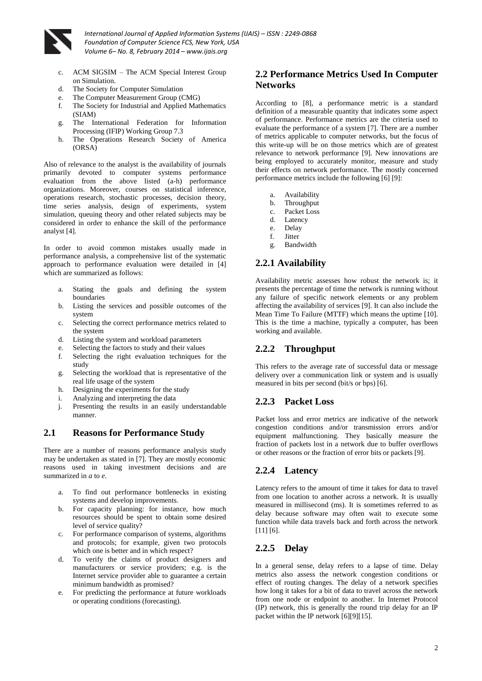

- ACM SIGSIM The ACM Special Interest Group on Simulation.
- d. The Society for Computer Simulation
- e. The Computer Measurement Group (CMG)
- f. The Society for Industrial and Applied Mathematics (SIAM)
- g. The International Federation for Information Processing (IFIP) Working Group 7.3
- h. The Operations Research Society of America (ORSA)

Also of relevance to the analyst is the availability of journals primarily devoted to computer systems performance evaluation from the above listed (a-h) performance organizations. Moreover, courses on statistical inference, operations research, stochastic processes, decision theory, time series analysis, design of experiments, system simulation, queuing theory and other related subjects may be considered in order to enhance the skill of the performance analyst [4].

In order to avoid common mistakes usually made in performance analysis, a comprehensive list of the systematic approach to performance evaluation were detailed in [4] which are summarized as follows:

- a. Stating the goals and defining the system boundaries
- b. Listing the services and possible outcomes of the system
- c. Selecting the correct performance metrics related to the system
- d. Listing the system and workload parameters
- e. Selecting the factors to study and their values
- f. Selecting the right evaluation techniques for the study
- g. Selecting the workload that is representative of the real life usage of the system
- h. Designing the experiments for the study
- i. Analyzing and interpreting the data
- j. Presenting the results in an easily understandable manner.

### **2.1 Reasons for Performance Study**

There are a number of reasons performance analysis study may be undertaken as stated in [7]. They are mostly economic reasons used in taking investment decisions and are summarized in *a* to *e*.

- a. To find out performance bottlenecks in existing systems and develop improvements.
- b. For capacity planning: for instance, how much resources should be spent to obtain some desired level of service quality?
- c. For performance comparison of systems, algorithms and protocols; for example, given two protocols which one is better and in which respect?
- d. To verify the claims of product designers and manufacturers or service providers; e.g. is the Internet service provider able to guarantee a certain minimum bandwidth as promised?
- e. For predicting the performance at future workloads or operating conditions (forecasting).

# **2.2 Performance Metrics Used In Computer Networks**

According to [8], a performance metric is a standard definition of a measurable quantity that indicates some aspect of performance. Performance metrics are the criteria used to evaluate the performance of a system [7]. There are a number of metrics applicable to computer networks, but the focus of this write-up will be on those metrics which are of greatest relevance to network performance [9]. New innovations are being employed to accurately monitor, measure and study their effects on network performance. The mostly concerned performance metrics include the following [6] [9]:

- a. Availability
- b. Throughput
- c. Packet Loss
- d. Latency
- e. Delay
- f. Jitter
- g. Bandwidth

#### **2.2.1 Availability**

Availability metric assesses how robust the network is; it presents the percentage of time the network is running without any failure of specific network elements or any problem affecting the availability of services [9]. It can also include the Mean Time To Failure (MTTF) which means the uptime [10]. This is the time a machine, typically a computer, has been working and available.

### **2.2.2 Throughput**

This refers to the average rate of successful data or message delivery over a communication link or system and is usually measured in bits per second (bit/s or bps) [6].

#### **2.2.3 Packet Loss**

Packet loss and error metrics are indicative of the network congestion conditions and/or transmission errors and/or equipment malfunctioning. They basically measure the fraction of packets lost in a network due to buffer overflows or other reasons or the fraction of error bits or packets [9].

#### **2.2.4 Latency**

Latency refers to the amount of time it takes for data to travel from one location to another across a network. It is usually measured in millisecond (ms). It is sometimes referred to as delay because software may often wait to execute some function while data travels back and forth across the network [11] [6].

### **2.2.5 Delay**

In a general sense, delay refers to a lapse of time. Delay metrics also assess the network congestion conditions or effect of routing changes. The delay of a network specifies how long it takes for a bit of data to travel across the network from one node or endpoint to another. In Internet Protocol (IP) network, this is generally the round trip delay for an IP packet within the IP network [6][9][15].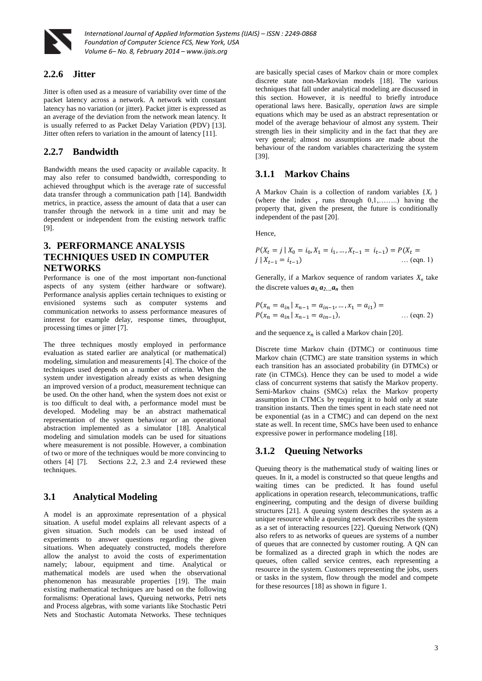

#### **2.2.6 Jitter**

Jitter is often used as a measure of variability over time of the packet latency across a network. A network with constant latency has no variation (or jitter). Packet jitter is expressed as an average of the deviation from the network mean latency. It is usually referred to as Packet Delay Variation (PDV) [13]. Jitter often refers to variation in the amount of latency [11].

### **2.2.7 Bandwidth**

Bandwidth means the used capacity or available capacity. It may also refer to consumed bandwidth, corresponding to achieved throughput which is the average rate of successful data transfer through a communication path [14]. Bandwidth metrics, in practice, assess the amount of data that a user can transfer through the network in a time unit and may be dependent or independent from the existing network traffic [9].

### **3. PERFORMANCE ANALYSIS TECHNIQUES USED IN COMPUTER NETWORKS**

Performance is one of the most important non-functional aspects of any system (either hardware or software). Performance analysis applies certain techniques to existing or envisioned systems such as computer systems and communication networks to assess performance measures of interest for example delay, response times, throughput, processing times or jitter [7].

The three techniques mostly employed in performance evaluation as stated earlier are analytical (or mathematical) modeling, simulation and measurements [4]. The choice of the techniques used depends on a number of criteria. When the system under investigation already exists as when designing an improved version of a product, measurement technique can be used. On the other hand, when the system does not exist or is too difficult to deal with, a performance model must be developed. Modeling may be an abstract mathematical representation of the system behaviour or an operational abstraction implemented as a simulator [18]. Analytical modeling and simulation models can be used for situations where measurement is not possible. However, a combination of two or more of the techniques would be more convincing to others [4] [7]. Sections 2.2, 2.3 and 2.4 reviewed these techniques.

### **3.1 Analytical Modeling**

A model is an approximate representation of a physical situation. A useful model explains all relevant aspects of a given situation. Such models can be used instead of experiments to answer questions regarding the given situations. When adequately constructed, models therefore allow the analyst to avoid the costs of experimentation namely; labour, equipment and time. Analytical or mathematical models are used when the observational phenomenon has measurable properties [19]. The main existing mathematical techniques are based on the following formalisms: Operational laws, Queuing networks, Petri nets and Process algebras, with some variants like Stochastic Petri Nets and Stochastic Automata Networks. These techniques

are basically special cases of Markov chain or more complex discrete state non-Markovian models [18]. The various techniques that fall under analytical modeling are discussed in this section. However, it is needful to briefly introduce operational laws here. Basically, *operation laws* are simple equations which may be used as an abstract representation or model of the average behaviour of almost any system. Their strength lies in their simplicity and in the fact that they are very general; almost no assumptions are made about the behaviour of the random variables characterizing the system [39].

#### **3.1.1 Markov Chains**

A Markov Chain is a collection of random variables {*X<sup>t</sup>* } (where the index  $_t$  runs through  $0,1,......$ ) having the property that, given the present, the future is conditionally independent of the past [20].

Hence,

$$
P(X_t = j | X_0 = i_0, X_1 = i_1, ..., X_{t-1} = i_{t-1}) = P(X_t = j | X_{t-1} = i_{t-1})
$$
\n... (eqn. 1)

Generally, if a Markov sequence of random variates  $X_n$  take the discrete values  $a_1, a_2, \ldots, a_n$  then

$$
P(x_n = a_{in} | x_{n-1} = a_{in-1}, ..., x_1 = a_{i1}) =
$$
  
 
$$
P(x_n = a_{in} | x_{n-1} = a_{in-1}),
$$
 ... (eqn. 2)

and the sequence  $x_n$  is called a Markov chain [20].

Discrete time Markov chain (DTMC) or continuous time Markov chain (CTMC) are state transition systems in which each transition has an associated probability (in DTMCs) or rate (in CTMCs). Hence they can be used to model a wide class of concurrent systems that satisfy the Markov property. Semi-Markov chains (SMCs) relax the Markov property assumption in CTMCs by requiring it to hold only at state transition instants. Then the times spent in each state need not be exponential (as in a CTMC) and can depend on the next state as well. In recent time, SMCs have been used to enhance expressive power in performance modeling [18].

### **3.1.2 Queuing Networks**

Queuing theory is the mathematical study of waiting lines or queues. In it, a model is constructed so that queue lengths and waiting times can be predicted. It has found useful applications in operation research, telecommunications, traffic engineering, computing and the design of diverse building structures [21]. A queuing system describes the system as a unique resource while a queuing network describes the system as a set of interacting resources [22]. Queuing Network (QN) also refers to as networks of queues are systems of a number of queues that are connected by customer routing. A QN can be formalized as a directed graph in which the nodes are queues, often called service centres, each representing a resource in the system. Customers representing the jobs, users or tasks in the system, flow through the model and compete for these resources [18] as shown in figure 1.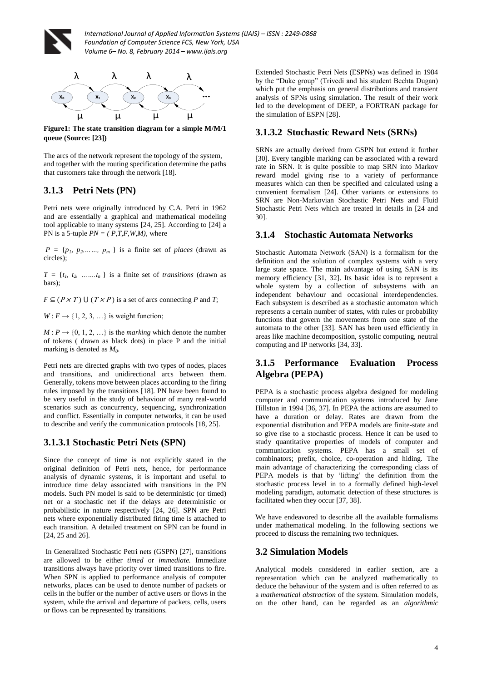



**Figure1: The state transition diagram for a simple M/M/1 queue (Source: [23])**

The arcs of the network represent the topology of the system, and together with the routing specification determine the paths that customers take through the network [18].

# **3.1.3 Petri Nets (PN)**

Petri nets were originally introduced by C.A. Petri in 1962 and are essentially a graphical and mathematical modeling tool applicable to many systems [24, 25]. According to [24] a PN is a 5-tuple  $PN = (P, T, F, W, M)$ , where

 $P = \{p_1, p_2, \ldots, p_m\}$  is a finite set of *places* (drawn as circles);

 $T = \{t_1, t_2, \dots, t_n\}$  is a finite set of *transitions* (drawn as bars);

 $F \subseteq (P \times T) \cup (T \times P)$  is a set of arcs connecting *P* and *T*;

 $W: F \rightarrow \{1, 2, 3, \ldots\}$  is weight function;

 $M: P \rightarrow \{0, 1, 2, \ldots\}$  is the *marking* which denote the number of tokens ( drawn as black dots) in place P and the initial marking is denoted as *M<sup>0</sup>* .

Petri nets are directed graphs with two types of nodes, places and transitions, and unidirectional arcs between them. Generally, tokens move between places according to the firing rules imposed by the transitions [18]. PN have been found to be very useful in the study of behaviour of many real-world scenarios such as concurrency, sequencing, synchronization and conflict. Essentially in computer networks, it can be used to describe and verify the communication protocols [18, 25].

### **3.1.3.1 Stochastic Petri Nets (SPN)**

Since the concept of time is not explicitly stated in the original definition of Petri nets, hence, for performance analysis of dynamic systems, it is important and useful to introduce time delay associated with transitions in the PN models. Such PN model is said to be deterministic (or timed) net or a stochastic net if the delays are deterministic or probabilistic in nature respectively [24, 26]. SPN are Petri nets where exponentially distributed firing time is attached to each transition. A detailed treatment on SPN can be found in [24, 25 and 26].

In Generalized Stochastic Petri nets (GSPN) [27], transitions are allowed to be either *timed* or *immediate.* Immediate transitions always have priority over timed transitions to fire. When SPN is applied to performance analysis of computer networks, places can be used to denote number of packets or cells in the buffer or the number of active users or flows in the system, while the arrival and departure of packets, cells, users or flows can be represented by transitions.

Extended Stochastic Petri Nets (ESPNs) was defined in 1984 by the "Duke group" (Trivedi and his student Bechta Dugan) which put the emphasis on general distributions and transient analysis of SPNs using simulation. The result of their work led to the development of DEEP, a FORTRAN package for the simulation of ESPN [28].

### **3.1.3.2 Stochastic Reward Nets (SRNs)**

SRNs are actually derived from GSPN but extend it further [30]. Every tangible marking can be associated with a reward rate in SRN. It is quite possible to map SRN into Markov reward model giving rise to a variety of performance measures which can then be specified and calculated using a convenient formalism [24]. Other variants or extensions to SRN are Non-Markovian Stochastic Petri Nets and Fluid Stochastic Petri Nets which are treated in details in [24 and 30].

# **3.1.4 Stochastic Automata Networks**

Stochastic Automata Network (SAN) is a formalism for the definition and the solution of complex systems with a very large state space. The main advantage of using SAN is its memory efficiency [31, 32]. Its basic idea is to represent a whole system by a collection of subsystems with an independent behaviour and occasional interdependencies. Each subsystem is described as a stochastic automaton which represents a certain number of states, with rules or probability functions that govern the movements from one state of the automata to the other [33]. SAN has been used efficiently in areas like machine decomposition, systolic computing, neutral computing and IP networks [34, 33].

### **3.1.5 Performance Evaluation Process Algebra (PEPA)**

PEPA is a stochastic process algebra designed for modeling computer and communication systems introduced by Jane Hillston in 1994 [36, 37]. In PEPA the actions are assumed to have a duration or delay. Rates are drawn from the exponential distribution and PEPA models are finite-state and so give rise to a stochastic process. Hence it can be used to study quantitative properties of models of computer and communication systems. PEPA has a small set of combinators; prefix, choice, co-operation and hiding. The main advantage of characterizing the corresponding class of PEPA models is that by 'lifting' the definition from the stochastic process level in to a formally defined high-level modeling paradigm, automatic detection of these structures is facilitated when they occur [37, 38].

We have endeavored to describe all the available formalisms under mathematical modeling. In the following sections we proceed to discuss the remaining two techniques.

# **3.2 Simulation Models**

Analytical models considered in earlier section, are a representation which can be analyzed mathematically to deduce the behaviour of the system and is often referred to as a *mathematical abstraction* of the system. Simulation models, on the other hand, can be regarded as an *algorithmic*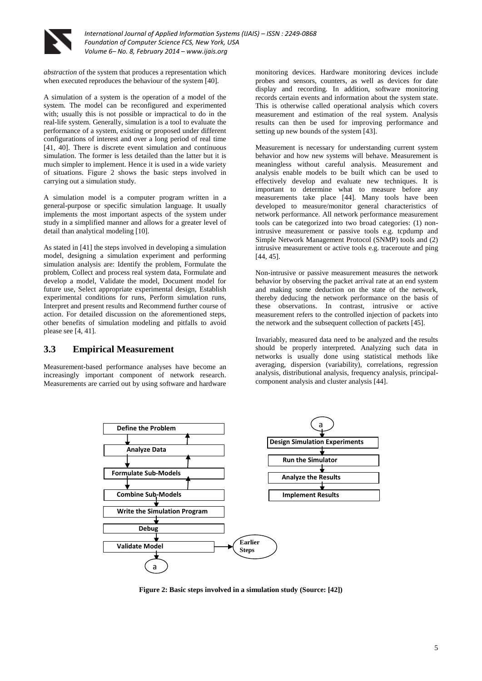

*abstraction* of the system that produces a representation which when executed reproduces the behaviour of the system [40].

A simulation of a system is the operation of a model of the system. The model can be reconfigured and experimented with; usually this is not possible or impractical to do in the real-life system. Generally, simulation is a tool to evaluate the performance of a system, existing or proposed under different configurations of interest and over a long period of real time [41, 40]. There is discrete event simulation and continuous simulation. The former is less detailed than the latter but it is much simpler to implement. Hence it is used in a wide variety of situations. Figure 2 shows the basic steps involved in carrying out a simulation study.

A simulation model is a computer program written in a general-purpose or specific simulation language. It usually implements the most important aspects of the system under study in a simplified manner and allows for a greater level of detail than analytical modeling [10].

As stated in [41] the steps involved in developing a simulation model, designing a simulation experiment and performing simulation analysis are: Identify the problem, Formulate the problem, Collect and process real system data, Formulate and develop a model, Validate the model, Document model for future use, Select appropriate experimental design, Establish experimental conditions for runs, Perform simulation runs, Interpret and present results and Recommend further course of action. For detailed discussion on the aforementioned steps, other benefits of simulation modeling and pitfalls to avoid please see [4, 41].

#### **3.3 Empirical Measurement**

Measurement-based performance analyses have become an increasingly important component of network research. Measurements are carried out by using software and hardware

monitoring devices. Hardware monitoring devices include probes and sensors, counters, as well as devices for date display and recording. In addition, software monitoring records certain events and information about the system state. This is otherwise called operational analysis which covers measurement and estimation of the real system. Analysis results can then be used for improving performance and setting up new bounds of the system [43].

Measurement is necessary for understanding current system behavior and how new systems will behave. Measurement is meaningless without careful analysis. Measurement and analysis enable models to be built which can be used to effectively develop and evaluate new techniques. It is important to determine what to measure before any measurements take place [44]. Many tools have been developed to measure/monitor general characteristics of network performance. All network performance measurement tools can be categorized into two broad categories: (1) nonintrusive measurement or passive tools e.g. tcpdump and Simple Network Management Protocol (SNMP) tools and (2) intrusive measurement or active tools e.g. traceroute and ping [44, 45].

Non-intrusive or passive measurement measures the network behavior by observing the packet arrival rate at an end system and making some deduction on the state of the network, thereby deducing the network performance on the basis of these observations. In contrast, intrusive or active measurement refers to the controlled injection of packets into the network and the subsequent collection of packets [45].

Invariably, measured data need to be analyzed and the results should be properly interpreted. Analyzing such data in networks is usually done using statistical methods like averaging, dispersion (variability), correlations, regression analysis, distributional analysis, frequency analysis, principalcomponent analysis and cluster analysis [44].



**Figure 2: Basic steps involved in a simulation study (Source: [42])**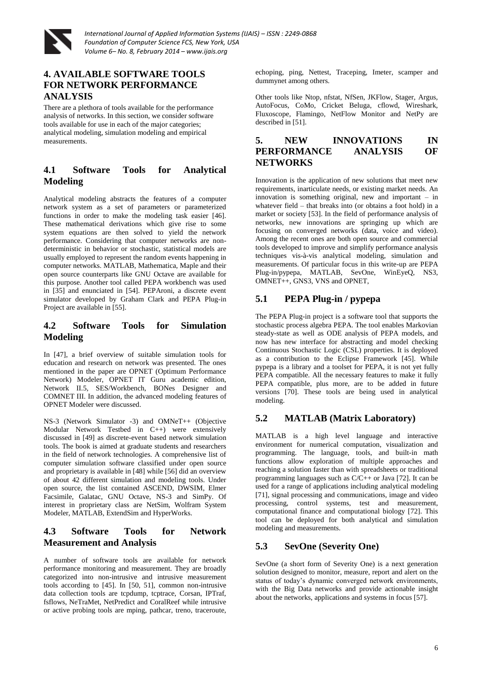

# **4. AVAILABLE SOFTWARE TOOLS FOR NETWORK PERFORMANCE ANALYSIS**

There are a plethora of tools available for the performance analysis of networks. In this section, we consider software tools available for use in each of the major categories; analytical modeling, simulation modeling and empirical measurements.

# **4.1 Software Tools for Analytical Modeling**

Analytical modeling abstracts the features of a computer network system as a set of parameters or parameterized functions in order to make the modeling task easier [46]. These mathematical derivations which give rise to some system equations are then solved to yield the network performance. Considering that computer networks are nondeterministic in behavior or stochastic, statistical models are usually employed to represent the random events happening in computer networks. MATLAB, Mathematica, Maple and their open source counterparts like GNU Octave are available for this purpose. Another tool called PEPA workbench was used in [35] and enunciated in [54]. PEPAroni, a discrete event simulator developed by Graham Clark and PEPA Plug-in Project are available in [55].

# **4.2 Software Tools for Simulation Modeling**

In [47], a brief overview of suitable simulation tools for education and research on network was presented. The ones mentioned in the paper are OPNET (Optimum Performance Network) Modeler, OPNET IT Guru academic edition, Network II.5, SES/Workbench, BONes Designer and COMNET III. In addition, the advanced modeling features of OPNET Modeler were discussed.

NS-3 (Network Simulator -3) and OMNeT++ (Objective Modular Network Testbed in C++) were extensively discussed in [49] as discrete-event based network simulation tools. The book is aimed at graduate students and researchers in the field of network technologies. A comprehensive list of computer simulation software classified under open source and proprietary is available in [48] while [56] did an overview of about 42 different simulation and modeling tools. Under open source, the list contained ASCEND, DWSIM, Elmer Facsimile, Galatac, GNU Octave, NS-3 and SimPy. Of interest in proprietary class are NetSim, Wolfram System Modeler, MATLAB, ExtendSim and HyperWorks.

# **4.3 Software Tools for Network Measurement and Analysis**

A number of software tools are available for network performance monitoring and measurement. They are broadly categorized into non-intrusive and intrusive measurement tools according to [45]. In [50, 51], common non-intrusive data collection tools are tcpdump, tcptrace, Corsan, IPTraf, fsflows, NeTraMet, NetPredict and CoralReef while intrusive or active probing tools are mping, pathcar, treno, traceroute, echoping, ping, Nettest, Traceping, Imeter, scamper and dummynet among others.

Other tools like Ntop, nfstat, NfSen, JKFlow, Stager, Argus, AutoFocus, CoMo, Cricket Beluga, cflowd, Wireshark, Fluxoscope, Flamingo, NetFlow Monitor and NetPy are described in [51].

# **5. NEW INNOVATIONS IN PERFORMANCE ANALYSIS OF NETWORKS**

Innovation is the application of new solutions that meet new requirements, inarticulate needs, or existing market needs. An innovation is something original, new and important – in whatever field – that breaks into (or obtains a foot hold) in a market or society [53]. In the field of performance analysis of networks, new innovations are springing up which are focusing on converged networks (data, voice and video). Among the recent ones are both open source and commercial tools developed to improve and simplify performance analysis techniques vis-à-vis analytical modeling, simulation and measurements. Of particular focus in this write-up are PEPA Plug-in/pypepa, MATLAB, SevOne, WinEyeQ, NS3, OMNET++, GNS3, VNS and OPNET,

# **5.1 PEPA Plug-in / pypepa**

The PEPA Plug-in project is a software tool that supports the stochastic process algebra PEPA. The tool enables Markovian steady-state as well as ODE analysis of PEPA models, and now has new interface for abstracting and model checking Continuous Stochastic Logic (CSL) properties. It is deployed as a contribution to the Eclipse Framework [45]. While pypepa is a library and a toolset for PEPA, it is not yet fully PEPA compatible. All the necessary features to make it fully PEPA compatible, plus more, are to be added in future versions [70]. These tools are being used in analytical modeling.

### **5.2 MATLAB (Matrix Laboratory)**

MATLAB is a high level language and interactive environment for numerical computation, visualization and programming. The language, tools, and built-in math functions allow exploration of multiple approaches and reaching a solution faster than with spreadsheets or traditional programming languages such as  $C/C++$  or Java [72]. It can be used for a range of applications including analytical modeling [71], signal processing and communications, image and video processing, control systems, test and measurement, computational finance and computational biology [72]. This tool can be deployed for both analytical and simulation modeling and measurements.

### **5.3 SevOne (Severity One)**

SevOne (a short form of Severity One) is a next generation solution designed to monitor, measure, report and alert on the status of today's dynamic converged network environments, with the Big Data networks and provide actionable insight about the networks, applications and systems in focus [57].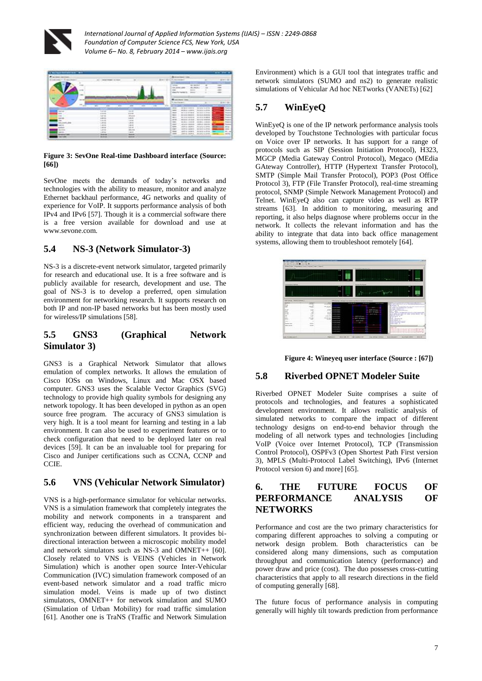



#### **Figure 3: SevOne Real-time Dashboard interface (Source: [66])**

SevOne meets the demands of today's networks and technologies with the ability to measure, monitor and analyze Ethernet backhaul performance, 4G networks and quality of experience for VoIP. It supports performance analysis of both IPv4 and IPv6 [57]. Though it is a commercial software there is a free version available for download and use at www.sevone.com.

### **5.4 NS-3 (Network Simulator-3)**

NS-3 is a discrete-event network simulator, targeted primarily for research and educational use. It is a free software and is publicly available for research, development and use. The goal of NS-3 is to develop a preferred, open simulation environment for networking research. It supports research on both IP and non-IP based networks but has been mostly used for wireless/IP simulations [58].

#### **5.5 GNS3 (Graphical Network Simulator 3)**

GNS3 is a Graphical Network Simulator that allows emulation of complex networks. It allows the emulation of Cisco IOSs on Windows, Linux and Mac OSX based computer. GNS3 uses the Scalable Vector Graphics (SVG) technology to provide high quality symbols for designing any network topology. It has been developed in python as an open source free program. The accuracy of GNS3 simulation is very high. It is a tool meant for learning and testing in a lab environment. It can also be used to experiment features or to check configuration that need to be deployed later on real devices [59]. It can be an invaluable tool for preparing for Cisco and Juniper certifications such as CCNA, CCNP and **CCIE** 

### **5.6 VNS (Vehicular Network Simulator)**

VNS is a high-performance simulator for vehicular networks. VNS is a simulation framework that completely integrates the mobility and network components in a transparent and efficient way, reducing the overhead of communication and synchronization between different simulators. It provides bidirectional interaction between a microscopic mobility model and network simulators such as NS-3 and OMNET++ [60]. Closely related to VNS is VEINS (Vehicles in Network Simulation) which is another open source Inter-Vehicular Communication (IVC) simulation framework composed of an event-based network simulator and a road traffic micro simulation model. Veins is made up of two distinct simulators, OMNET++ for network simulation and SUMO (Simulation of Urban Mobility) for road traffic simulation [61]. Another one is TraNS (Traffic and Network Simulation

Environment) which is a GUI tool that integrates traffic and network simulators (SUMO and ns2) to generate realistic simulations of Vehicular Ad hoc NETworks (VANETs) [62]

# **5.7 WinEyeQ**

WinEyeQ is one of the IP network performance analysis tools developed by Touchstone Technologies with particular focus on Voice over IP networks. It has support for a range of protocols such as SIP (Session Initiation Protocol), H323, MGCP (Media Gateway Control Protocol), Megaco (MEdia GAteway Controller), HTTP (Hypertext Transfer Protocol), SMTP (Simple Mail Transfer Protocol), POP3 (Post Office Protocol 3), FTP (File Transfer Protocol), real-time streaming protocol, SNMP (Simple Network Management Protocol) and Telnet. WinEyeQ also can capture video as well as RTP streams [63]. In addition to monitoring, measuring and reporting, it also helps diagnose where problems occur in the network. It collects the relevant information and has the ability to integrate that data into back office management systems, allowing them to troubleshoot remotely [64].



**Figure 4: Wineyeq user interface (Source : [67])**

### **5.8 Riverbed OPNET Modeler Suite**

Riverbed OPNET Modeler Suite comprises a suite of protocols and technologies, and features a sophisticated development environment. It allows realistic analysis of simulated networks to compare the impact of different technology designs on end-to-end behavior through the modeling of all network types and technologies [including VoIP (Voice over Internet Protocol), TCP (Transmission Control Protocol), OSPFv3 (Open Shortest Path First version 3), MPLS (Multi-Protocol Label Switching), IPv6 (Internet Protocol version 6) and more] [65].

## **6. THE FUTURE FOCUS OF PERFORMANCE ANALYSIS OF NETWORKS**

Performance and cost are the two primary characteristics for comparing different approaches to solving a computing or network design problem. Both characteristics can be considered along many dimensions, such as computation throughput and communication latency (performance) and power draw and price (cost). The duo possesses cross-cutting characteristics that apply to all research directions in the field of computing generally [68].

The future focus of performance analysis in computing generally will highly tilt towards prediction from performance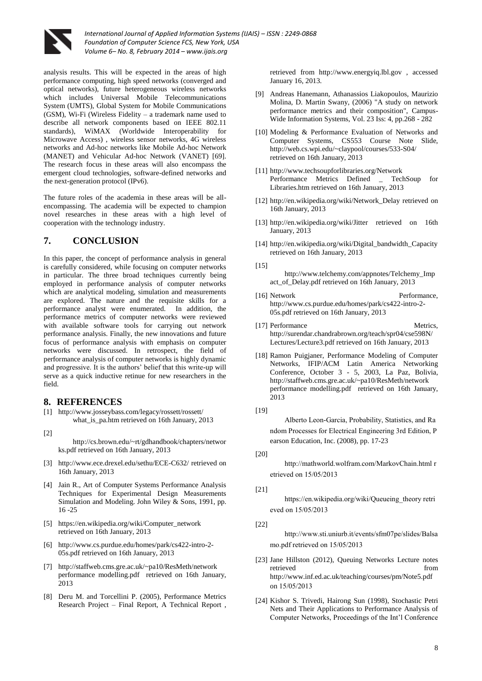

analysis results. This will be expected in the areas of high performance computing, high speed networks (converged and optical networks), future heterogeneous wireless networks which includes Universal Mobile Telecommunications System (UMTS), Global System for Mobile Communications (GSM), Wi-Fi (Wireless Fidelity – a trademark name used to describe all network components based on IEEE 802.11 standards), WiMAX (Worldwide Interoperability for Microwave Access) , wireless sensor networks, 4G wireless networks and Ad-hoc networks like Mobile Ad-hoc Network (MANET) and Vehicular Ad-hoc Network (VANET) [69]. The research focus in these areas will also encompass the emergent cloud technologies, software-defined networks and the next-generation protocol (IPv6).

The future roles of the academia in these areas will be allencompassing. The academia will be expected to champion novel researches in these areas with a high level of cooperation with the technology industry.

### **7. CONCLUSION**

In this paper, the concept of performance analysis in general is carefully considered, while focusing on computer networks in particular. The three broad techniques currently being employed in performance analysis of computer networks which are analytical modeling, simulation and measurements are explored. The nature and the requisite skills for a performance analyst were enumerated. In addition, the performance metrics of computer networks were reviewed with available software tools for carrying out network performance analysis. Finally, the new innovations and future focus of performance analysis with emphasis on computer networks were discussed. In retrospect, the field of performance analysis of computer networks is highly dynamic and progressive. It is the authors' belief that this write-up will serve as a quick inductive retinue for new researchers in the field.

#### **8. REFERENCES**

- [1] http://www.josseybass.com/legacy/rossett/rossett/ what\_is\_pa.htm retrieved on 16th January, 2013
- [2]

http://cs.brown.edu/~rt/gdhandbook/chapters/networ ks.pdf retrieved on 16th January, 2013

- [3] http://www.ece.drexel.edu/sethu/ECE-C632/ retrieved on 16th January, 2013
- [4] Jain R., Art of Computer Systems Performance Analysis Techniques for Experimental Design Measurements Simulation and Modeling. John Wiley & Sons, 1991, pp. 16 -25
- [5] https://en.wikipedia.org/wiki/Computer\_network retrieved on 16th January, 2013
- [6] http://www.cs.purdue.edu/homes/park/cs422-intro-2- 05s.pdf retrieved on 16th January, 2013
- [7] http://staffweb.cms.gre.ac.uk/~pa10/ResMeth/network performance modelling.pdf retrieved on 16th January, 2013
- [8] Deru M. and Torcellini P. (2005), Performance Metrics Research Project – Final Report, A Technical Report ,

retrieved from http://www.energyiq.lbl.gov , accessed January 16, 2013.

- [9] Andreas Hanemann, Athanassios Liakopoulos, Maurizio Molina, D. Martin Swany, (2006) "A study on network performance metrics and their composition", Campus-Wide Information Systems, Vol. 23 Iss: 4, pp.268 - 282
- [10] Modeling & Performance Evaluation of Networks and Computer Systems, CS553 Course Note Slide, http://web.cs.wpi.edu/~claypool/courses/533-S04/ retrieved on 16th January, 2013
- [11] http://www.techsoupforlibraries.org/Network Performance Metrics Defined \_ TechSoup for Libraries.htm retrieved on 16th January, 2013
- [12] http://en.wikipedia.org/wiki/Network\_Delay retrieved on 16th January, 2013
- [13] http://en.wikipedia.org/wiki/Jitter retrieved on 16th January, 2013
- [14] http://en.wikipedia.org/wiki/Digital\_bandwidth\_Capacity retrieved on 16th January, 2013

- http://www.telchemy.com/appnotes/Telchemy\_Imp act\_of\_Delay.pdf retrieved on 16th January, 2013
- [16] Network Performance, http://www.cs.purdue.edu/homes/park/cs422-intro-2- 05s.pdf retrieved on 16th January, 2013
- [17] Performance Metrics, http://surendar.chandrabrown.org/teach/spr04/cse598N/ Lectures/Lecture3.pdf retrieved on 16th January, 2013
- [18] Ramon Puigjaner, Performance Modeling of Computer Networks, IFIP/ACM Latin America Networking Conference, October 3 - 5, 2003, La Paz, Bolivia, http://staffweb.cms.gre.ac.uk/~pa10/ResMeth/network performance modelling.pdf retrieved on 16th January, 2013
- [19]

Alberto Leon-Garcia, Probability, Statistics, and Ra ndom Processes for Electrical Engineering 3rd Edition, P earson Education, Inc. (2008), pp. 17-23

[20]

http://mathworld.wolfram.com/MarkovChain.html r etrieved on 15/05/2013

[21]

https://en.wikipedia.org/wiki/Queueing theory retri eved on 15/05/2013

[22]

http://www.sti.uniurb.it/events/sfm07pe/slides/Balsa mo.pdf retrieved on 15/05/2013

- [23] Jane Hillston (2012), Queuing Networks Lecture notes retrieved from  $\sim$ http://www.inf.ed.ac.uk/teaching/courses/pm/Note5.pdf on 15/05/2013
- [24] Kishor S. Trivedi, Hairong Sun (1998), Stochastic Petri Nets and Their Applications to Performance Analysis of Computer Networks, Proceedings of the Int'l Conference

<sup>[15]</sup>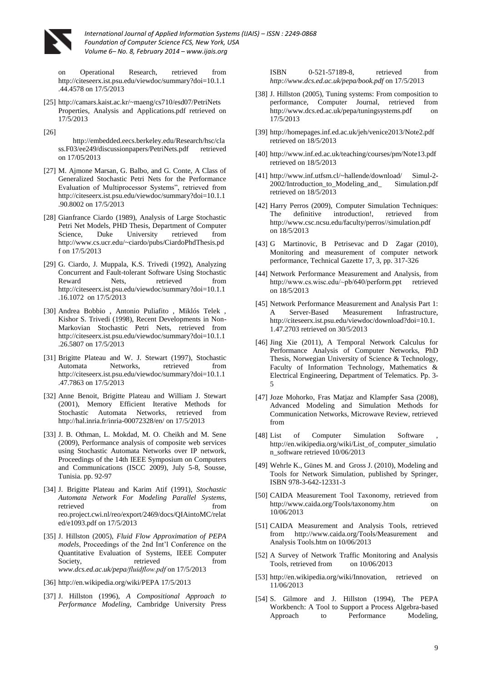

Operational Research, retrieved from http://citeseerx.ist.psu.edu/viewdoc/summary?doi=10.1.1 .44.4578 on 17/5/2013

- [25] http://camars.kaist.ac.kr/~maeng/cs710/esd07/PetriNets Properties, Analysis and Applications.pdf retrieved on 17/5/2013
- [26]

http://embedded.eecs.berkeley.edu/Research/hsc/cla ss.F03/ee249/discussionpapers/PetriNets.pdf retrieved on 17/05/2013

- [27] M. Ajmone Marsan, G. Balbo, and G. Conte, A Class of Generalized Stochastic Petri Nets for the Performance Evaluation of Multiprocessor Systems", retrieved from http://citeseerx.ist.psu.edu/viewdoc/summary?doi=10.1.1 .90.8002 on 17/5/2013
- [28] Gianfrance Ciardo (1989), Analysis of Large Stochastic Petri Net Models, PHD Thesis, Department of Computer Science, Duke University retrieved from http://www.cs.ucr.edu/~ciardo/pubs/CiardoPhdThesis.pd f on 17/5/2013
- [29] G. Ciardo, J. Muppala, K.S. Trivedi (1992), Analyzing Concurrent and Fault-tolerant Software Using Stochastic Reward Nets. retrieved from http://citeseerx.ist.psu.edu/viewdoc/summary?doi=10.1.1 .16.1072 on 17/5/2013
- [30] Andrea Bobbio , Antonio Puliafito , Miklós Telek , Kishor S. Trivedi (1998), Recent Developments in Non-Markovian Stochastic Petri Nets, retrieved from http://citeseerx.ist.psu.edu/viewdoc/summary?doi=10.1.1 .26.5807 on 17/5/2013
- [31] Brigitte Plateau and W. J. Stewart (1997), Stochastic Automata Networks, retrieved from http://citeseerx.ist.psu.edu/viewdoc/summary?doi=10.1.1 .47.7863 on 17/5/2013
- [32] Anne Benoit, Brigitte Plateau and William J. Stewart (2001), Memory Efficient Iterative Methods for Stochastic Automata Networks, retrieved from http://hal.inria.fr/inria-00072328/en/ on 17/5/2013
- [33] J. B. Othman, L. Mokdad, M. O. Cheikh and M. Sene (2009), Performance analysis of composite web services using Stochastic Automata Networks over IP network, Proceedings of the 14th IEEE Symposium on Computers and Communications (ISCC 2009), July 5-8, Sousse, Tunisia. pp. 92-97
- [34] J. Brigitte Plateau and Karim Atif (1991), *Stochastic Automata Network For Modeling Parallel Systems,*  retrieved from  $\sim$ reo.project.cwi.nl/reo/export/2469/docs/QIAintoMC/relat ed/e1093.pdf on 17/5/2013
- [35] J. Hillston (2005), *Fluid Flow Approximation of PEPA models*, Proceedings of the 2nd Int'l Conference on the Quantitative Evaluation of Systems, IEEE Computer Society, retrieved from *www.dcs.ed.ac.uk/pepa/fluidflow.pdf* on 17/5/2013
- [36] http://en.wikipedia.org/wiki/PEPA 17/5/2013
- [37] J. Hillston (1996), *A Compositional Approach to Performance Modeling,* Cambridge University Press

ISBN 0-521-57189-8, retrieved from *http://www.dcs.ed.ac.uk/pepa/book.pdf* on 17/5/2013

- [38] J. Hillston (2005), Tuning systems: From composition to performance, Computer Journal, retrieved from http://www.dcs.ed.ac.uk/pepa/tuningsystems.pdf on 17/5/2013
- [39] http://homepages.inf.ed.ac.uk/jeh/venice2013/Note2.pdf retrieved on 18/5/2013
- [40] http://www.inf.ed.ac.uk/teaching/courses/pm/Note13.pdf retrieved on 18/5/2013
- [41] http://www.inf.utfsm.cl/~hallende/download/ Simul-2- 2002/Introduction to Modeling and Simulation.pdf retrieved on 18/5/2013
- [42] Harry Perros (2009), Computer Simulation Techniques: The definitive introduction!, retrieved from http://www.csc.ncsu.edu/faculty/perros//simulation.pdf on 18/5/2013
- [43] G Martinovic, B Petrisevac and D Zagar (2010), Monitoring and measurement of computer network performance, Technical Gazette 17, 3, pp. 317-326
- [44] Network Performance Measurement and Analysis, from http://www.cs.wisc.edu/~pb/640/perform.ppt retrieved on 18/5/2013
- [45] Network Performance Measurement and Analysis Part 1: A Server-Based Measurement Infrastructure, http://citeseerx.ist.psu.edu/viewdoc/download?doi=10.1. 1.47.2703 retrieved on 30/5/2013
- [46] Jing Xie (2011), A Temporal Network Calculus for Performance Analysis of Computer Networks, PhD Thesis, Norwegian University of Science & Technology, Faculty of Information Technology, Mathematics & Electrical Engineering, Department of Telematics. Pp. 3- 5
- [47] Joze Mohorko, Fras Matjaz and Klampfer Sasa (2008), Advanced Modeling and Simulation Methods for Communication Networks, Microwave Review, retrieved from
- [48] List of Computer Simulation Software http://en.wikipedia.org/wiki/List\_of\_computer\_simulatio n\_software retrieved 10/06/2013
- [49] Wehrle K., Günes M. and Gross J. (2010), Modeling and Tools for Network Simulation, published by Springer, ISBN 978-3-642-12331-3
- [50] CAIDA Measurement Tool Taxonomy, retrieved from http://www.caida.org/Tools/taxonomy.htm on 10/06/2013
- [51] CAIDA Measurement and Analysis Tools, retrieved from http://www.caida.org/Tools/Measurement and Analysis Tools.htm on 10/06/2013
- [52] A Survey of Network Traffic Monitoring and Analysis Tools, retrieved from on  $10/06/2013$
- [53] http://en.wikipedia.org/wiki/Innovation, retrieved on 11/06/2013
- [54] S. Gilmore and J. Hillston (1994), The PEPA Workbench: A Tool to Support a Process Algebra-based Approach to Performance Modeling,